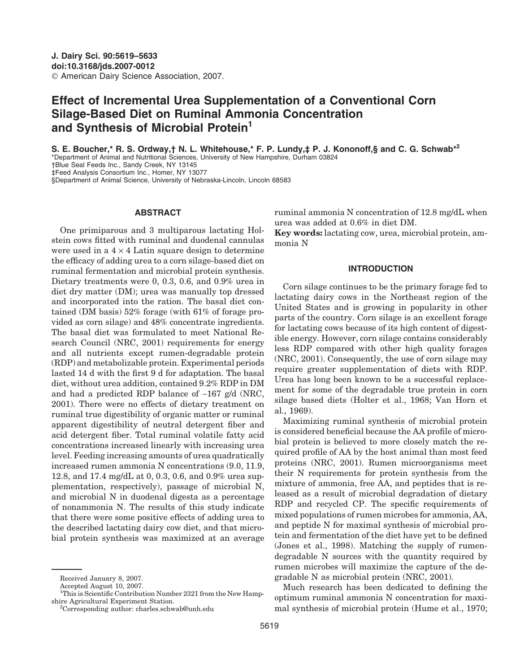# **Effect of Incremental Urea Supplementation of a Conventional Corn Silage-Based Diet on Ruminal Ammonia Concentration and Synthesis of Microbial Protein1**

**S. E. Boucher,\* R. S. Ordway,† N. L. Whitehouse,\* F. P. Lundy,‡ P. J. Kononoff,§ and C. G. Schwab\*<sup>2</sup>** \*Department of Animal and Nutritional Sciences, University of New Hampshire, Durham 03824 †Blue Seal Feeds Inc., Sandy Creek, NY 13145 ‡Feed Analysis Consortium Inc., Homer, NY 13077

§Department of Animal Science, University of Nebraska-Lincoln, Lincoln 68583

### **ABSTRACT**

One primiparous and 3 multiparous lactating Holstein cows fitted with ruminal and duodenal cannulas were used in a  $4 \times 4$  Latin square design to determine the efficacy of adding urea to a corn silage-based diet on ruminal fermentation and microbial protein synthesis. Dietary treatments were 0, 0.3, 0.6, and 0.9% urea in diet dry matter (DM); urea was manually top dressed and incorporated into the ration. The basal diet contained (DM basis) 52% forage (with 61% of forage provided as corn silage) and 48% concentrate ingredients. The basal diet was formulated to meet National Research Council (NRC, 2001) requirements for energy and all nutrients except rumen-degradable protein (RDP) and metabolizable protein. Experimental periods lasted 14 d with the first 9 d for adaptation. The basal diet, without urea addition, contained 9.2% RDP in DM and had a predicted RDP balance of −167 g/d (NRC, 2001). There were no effects of dietary treatment on ruminal true digestibility of organic matter or ruminal apparent digestibility of neutral detergent fiber and acid detergent fiber. Total ruminal volatile fatty acid concentrations increased linearly with increasing urea level. Feeding increasing amounts of urea quadratically increased rumen ammonia N concentrations (9.0, 11.9, 12.8, and 17.4 mg/dL at 0, 0.3, 0.6, and 0.9% urea supplementation, respectively), passage of microbial N, and microbial N in duodenal digesta as a percentage of nonammonia N. The results of this study indicate that there were some positive effects of adding urea to the described lactating dairy cow diet, and that microbial protein synthesis was maximized at an average

Accepted August 10, 2007.

5619

ruminal ammonia N concentration of 12.8 mg/dL when urea was added at 0.6% in diet DM.

**Key words:** lactating cow, urea, microbial protein, ammonia N

#### **INTRODUCTION**

Corn silage continues to be the primary forage fed to lactating dairy cows in the Northeast region of the United States and is growing in popularity in other parts of the country. Corn silage is an excellent forage for lactating cows because of its high content of digestible energy. However, corn silage contains considerably less RDP compared with other high quality forages (NRC, 2001). Consequently, the use of corn silage may require greater supplementation of diets with RDP. Urea has long been known to be a successful replacement for some of the degradable true protein in corn silage based diets (Holter et al., 1968; Van Horn et al., 1969).

Maximizing ruminal synthesis of microbial protein is considered beneficial because the AA profile of microbial protein is believed to more closely match the required profile of AA by the host animal than most feed proteins (NRC, 2001). Rumen microorganisms meet their N requirements for protein synthesis from the mixture of ammonia, free AA, and peptides that is released as a result of microbial degradation of dietary RDP and recycled CP. The specific requirements of mixed populations of rumen microbes for ammonia, AA, and peptide N for maximal synthesis of microbial protein and fermentation of the diet have yet to be defined (Jones et al., 1998). Matching the supply of rumendegradable N sources with the quantity required by rumen microbes will maximize the capture of the degradable N as microbial protein (NRC, 2001).

Much research has been dedicated to defining the optimum ruminal ammonia N concentration for maximal synthesis of microbial protein (Hume et al., 1970;

Received January 8, 2007.

<sup>&</sup>lt;sup>1</sup>This is Scientific Contribution Number 2321 from the New Hampshire Agricultural Experiment Station. <sup>2</sup>

<sup>&</sup>lt;sup>2</sup>Corresponding author: charles.schwab@unh.edu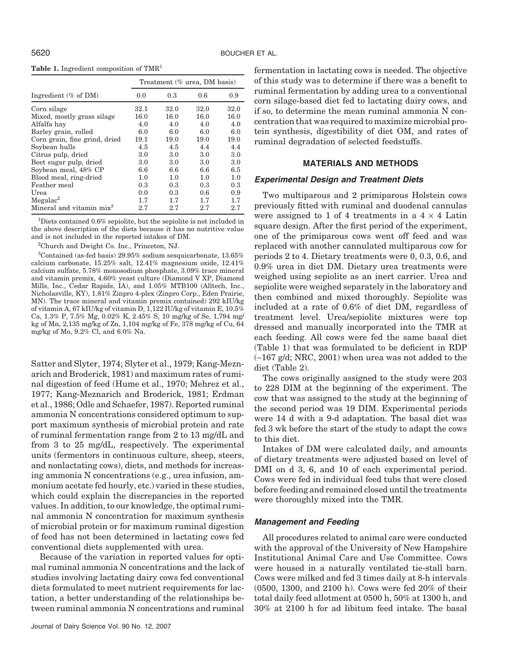| Treatment (% urea, DM basis) |      |      |      |  |  |  |  |
|------------------------------|------|------|------|--|--|--|--|
| 0.0                          | 0.3  | 0.6  | 0.9  |  |  |  |  |
| 32.1                         | 32.0 | 32.0 | 32.0 |  |  |  |  |
| 16.0                         | 16.0 | 16.0 | 16.0 |  |  |  |  |
| 4.0                          | 4.0  | 4.0  | 4.0  |  |  |  |  |
| 6.0                          | 6.0  | 6.0  | 6.0  |  |  |  |  |
| 19.1                         | 19.0 | 19.0 | 19.0 |  |  |  |  |
| 4.5                          | 4.5  | 4.4  | 4.4  |  |  |  |  |
| 3.0                          | 3.0  | 3.0  | 3.0  |  |  |  |  |
| 3.0                          | 3.0  | 3.0  | 3.0  |  |  |  |  |
| 6.6                          | 6.6  | 6.6  | 6.5  |  |  |  |  |
| 1.0                          | 1.0  | 1.0  | 1.0  |  |  |  |  |
| 0.3                          | 0.3  | 0.3  | 0.3  |  |  |  |  |
| 0.0                          | 0.3  | 0.6  | 0.9  |  |  |  |  |
| 1.7                          | 1.7  | 1.7  | 1.7  |  |  |  |  |
| 2.7                          | 2.7  | 2.7  | 2.7  |  |  |  |  |
|                              |      |      |      |  |  |  |  |

<sup>1</sup>Diets contained 0.6% sepiolite, but the sepiolite is not included in the above description of the diets because it has no nutritive value and is not included in the reported intakes of DM.

2 Church and Dwight Co. Inc., Princeton, NJ.

3 Contained (as-fed basis) 29.95% sodium sesquicarbonate, 13.65% calcium carbonate, 15.25% salt, 12.41% magnesium oxide, 12.41% calcium sulfate, 5.78% monosodium phosphate, 3.09% trace mineral and vitamin premix, 4.60% yeast culture (Diamond V XP, Diamond Mills, Inc., Cedar Rapids, IA), and 1.05% MTB100 (Alltech, Inc., Nicholasville, KY), 1.81% Zinpro 4-plex (Zinpro Corp., Eden Prairie, MN). The trace mineral and vitamin premix contained) 292 kIU/kg of vitamin A, 67 kIU/kg of vitamin D, 1,122 IU/kg of vitamin E, 10.5% Ca, 1.3% P, 7.5% Mg, 0.02% K, 2.45% S, 10 mg/kg of Se, 1,794 mg/ kg of Mn, 2,135 mg/kg of Zn, 1,104 mg/kg of Fe, 378 mg/kg of Cu, 64 mg/kg of Mo, 9.2% Cl, and 6.0% Na.

Satter and Slyter, 1974; Slyter et al., 1979; Kang-Meznarich and Broderick, 1981) and maximum rates of ruminal digestion of feed (Hume et al., 1970; Mehrez et al., 1977; Kang-Meznarich and Broderick, 1981; Erdman et al., 1986; Odle and Schaefer, 1987). Reported ruminal ammonia N concentrations considered optimum to support maximum synthesis of microbial protein and rate of ruminal fermentation range from 2 to 13 mg/dL and from 3 to 25 mg/dL, respectively. The experimental units (fermentors in continuous culture, sheep, steers, and nonlactating cows), diets, and methods for increasing ammonia N concentrations (e.g., urea infusion, ammonium acetate fed hourly, etc.) varied in these studies, which could explain the discrepancies in the reported values. In addition, to our knowledge, the optimal ruminal ammonia N concentration for maximum synthesis of microbial protein or for maximum ruminal digestion of feed has not been determined in lactating cows fed conventional diets supplemented with urea.

Because of the variation in reported values for optimal ruminal ammonia N concentrations and the lack of studies involving lactating dairy cows fed conventional diets formulated to meet nutrient requirements for lactation, a better understanding of the relationships between ruminal ammonia N concentrations and ruminal fermentation in lactating cows is needed. The objective of this study was to determine if there was a benefit to ruminal fermentation by adding urea to a conventional corn silage-based diet fed to lactating dairy cows, and if so, to determine the mean ruminal ammonia N concentration that was required to maximize microbial pro-

# **MATERIALS AND METHODS**

tein synthesis, digestibility of diet OM, and rates of

# *Experimental Design and Treatment Diets*

ruminal degradation of selected feedstuffs.

Two multiparous and 2 primiparous Holstein cows previously fitted with ruminal and duodenal cannulas were assigned to 1 of 4 treatments in a  $4 \times 4$  Latin square design. After the first period of the experiment, one of the primiparous cows went off feed and was replaced with another cannulated multiparous cow for periods 2 to 4. Dietary treatments were 0, 0.3, 0.6, and 0.9% urea in diet DM. Dietary urea treatments were weighed using sepiolite as an inert carrier. Urea and sepiolite were weighed separately in the laboratory and then combined and mixed thoroughly. Sepiolite was included at a rate of 0.6% of diet DM, regardless of treatment level. Urea/sepiolite mixtures were top dressed and manually incorporated into the TMR at each feeding. All cows were fed the same basal diet (Table 1) that was formulated to be deficient in RDP (−167 g/d; NRC, 2001) when urea was not added to the diet (Table 2).

The cows originally assigned to the study were 203 to 228 DIM at the beginning of the experiment. The cow that was assigned to the study at the beginning of the second period was 19 DIM. Experimental periods were 14 d with a 9-d adaptation. The basal diet was fed 3 wk before the start of the study to adapt the cows to this diet.

Intakes of DM were calculated daily, and amounts of dietary treatments were adjusted based on level of DMI on d 3, 6, and 10 of each experimental period. Cows were fed in individual feed tubs that were closed before feeding and remained closed until the treatments were thoroughly mixed into the TMR.

# *Management and Feeding*

All procedures related to animal care were conducted with the approval of the University of New Hampshire Institutional Animal Care and Use Committee. Cows were housed in a naturally ventilated tie-stall barn. Cows were milked and fed 3 times daily at 8-h intervals (0500, 1300, and 2100 h). Cows were fed 20% of their total daily feed allotment at 0500 h, 50% at 1300 h, and 30% at 2100 h for ad libitum feed intake. The basal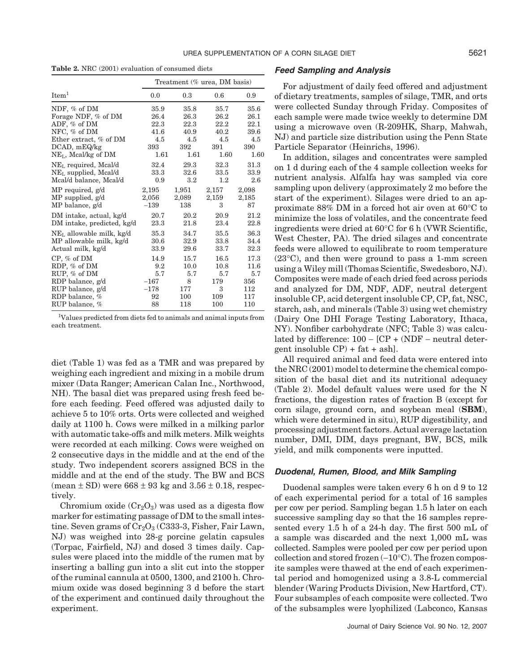**Table 2.** NRC (2001) evaluation of consumed diets

|                            | Treatment (% urea, DM basis) |         |         |       |  |  |  |
|----------------------------|------------------------------|---------|---------|-------|--|--|--|
| Item <sup>1</sup>          | 0.0                          | 0.3     | 0.6     | 0.9   |  |  |  |
| NDF, % of DM               | 35.9                         | 35.8    | 35.7    | 35.6  |  |  |  |
| Forage NDF, % of DM        | 26.4                         | 26.3    | 26.2    | 26.1  |  |  |  |
| ADF, % of DM               | 22.3                         | 22.3    | 22.2    | 22.1  |  |  |  |
| NFC, $%$ of DM             | 41.6                         | 40.9    | 40.2    | 39.6  |  |  |  |
| Ether extract, % of DM     | 4.5                          | 4.5     | 4.5     | 4.5   |  |  |  |
| $DCAD$ , $mEQ/kg$          | 393                          | 392     | 391     | 390   |  |  |  |
| $NEL$ , Meal/kg of DM      | 1.61                         | 1.61    | 1.60    | 1.60  |  |  |  |
| $NEL$ required, Mcal/d     | 32.4                         | 29.3    | 32.3    | 31.3  |  |  |  |
| $NEL$ supplied, Mcal/d     | 33.3                         | 32.6    | 33.5    | 33.9  |  |  |  |
| Mcal/d balance, Mcal/d     | 0.9                          | $3.2\,$ | $1.2\,$ | 2.6   |  |  |  |
| MP required, g/d           | 2,195                        | 1,951   | 2,157   | 2,098 |  |  |  |
| $MP$ supplied, $g/d$       | 2,056                        | 2,089   | 2,159   | 2,185 |  |  |  |
| MP balance, g/d            | $-139$                       | 138     | 3       | 87    |  |  |  |
| DM intake, actual, kg/d    | 20.7                         | 20.2    | 20.9    | 21.2  |  |  |  |
| DM intake, predicted, kg/d | 23.3                         | 21.8    | 23.4    | 22.8  |  |  |  |
| $NEL$ allowable milk, kg/d | 35.3                         | 34.7    | 35.5    | 36.3  |  |  |  |
| MP allowable milk, kg/d    | 30.6                         | 32.9    | 33.8    | 34.4  |  |  |  |
| Actual milk, kg/d          | 33.9                         | 29.6    | 33.7    | 32.3  |  |  |  |
| $CP, \%$ of DM             | 14.9                         | 15.7    | 16.5    | 17.3  |  |  |  |
| RDP, % of DM               | 9.2                          | 10.0    | 10.8    | 11.6  |  |  |  |
| RUP, % of DM               | 5.7                          | 5.7     | 5.7     | 5.7   |  |  |  |
| RDP balance, g/d           | $-167$                       | 8       | 179     | 356   |  |  |  |
| RUP balance, g/d           | $-178$                       | 177     | 3       | 112   |  |  |  |
| RDP balance, %             | 92                           | 100     | 109     | 117   |  |  |  |
| RUP balance, %             | 88                           | 118     | 100     | 110   |  |  |  |

<sup>1</sup> Values predicted from diets fed to animals and animal inputs from each treatment.

diet (Table 1) was fed as a TMR and was prepared by weighing each ingredient and mixing in a mobile drum mixer (Data Ranger; American Calan Inc., Northwood, NH). The basal diet was prepared using fresh feed before each feeding. Feed offered was adjusted daily to achieve 5 to 10% orts. Orts were collected and weighed daily at 1100 h. Cows were milked in a milking parlor with automatic take-offs and milk meters. Milk weights were recorded at each milking. Cows were weighed on 2 consecutive days in the middle and at the end of the study. Two independent scorers assigned BCS in the middle and at the end of the study. The BW and BCS (mean  $\pm$  SD) were 668  $\pm$  93 kg and 3.56  $\pm$  0.18, respectively.

Chromium oxide  $(Cr<sub>2</sub>O<sub>3</sub>)$  was used as a digesta flow marker for estimating passage of DM to the small intestine. Seven grams of  $Cr_2O_3$  (C333-3, Fisher, Fair Lawn, NJ) was weighed into 28-g porcine gelatin capsules (Torpac, Fairfield, NJ) and dosed 3 times daily. Capsules were placed into the middle of the rumen mat by inserting a balling gun into a slit cut into the stopper of the ruminal cannula at 0500, 1300, and 2100 h. Chromium oxide was dosed beginning 3 d before the start of the experiment and continued daily throughout the experiment.

## *Feed Sampling and Analysis*

For adjustment of daily feed offered and adjustment of dietary treatments, samples of silage, TMR, and orts were collected Sunday through Friday. Composites of each sample were made twice weekly to determine DM using a microwave oven (R-209HK, Sharp, Mahwah, NJ) and particle size distribution using the Penn State Particle Separator (Heinrichs, 1996).

In addition, silages and concentrates were sampled on 1 d during each of the 4 sample collection weeks for nutrient analysis. Alfalfa hay was sampled via core sampling upon delivery (approximately 2 mo before the start of the experiment). Silages were dried to an approximate 88% DM in a forced hot air oven at 60°C to minimize the loss of volatiles, and the concentrate feed ingredients were dried at 60°C for 6 h (VWR Scientific, West Chester, PA). The dried silages and concentrate feeds were allowed to equilibrate to room temperature (23°C), and then were ground to pass a 1-mm screen using a Wiley mill (Thomas Scientific, Swedesboro, NJ). Composites were made of each dried feed across periods and analyzed for DM, NDF, ADF, neutral detergent insoluble CP, acid detergent insoluble CP, CP, fat, NSC, starch, ash, and minerals (Table 3) using wet chemistry (Dairy One DHI Forage Testing Laboratory, Ithaca, NY). Nonfiber carbohydrate (NFC; Table 3) was calculated by difference: 100 − [CP + (NDF − neutral detergent insoluble  $CP$ ) + fat + ash.

All required animal and feed data were entered into the NRC (2001) model to determine the chemical composition of the basal diet and its nutritional adequacy (Table 2). Model default values were used for the N fractions, the digestion rates of fraction B (except for corn silage, ground corn, and soybean meal (**SBM**), which were determined in situ), RUP digestibility, and processing adjustment factors. Actual average lactation number, DMI, DIM, days pregnant, BW, BCS, milk yield, and milk components were inputted.

#### *Duodenal, Rumen, Blood, and Milk Sampling*

Duodenal samples were taken every 6 h on d 9 to 12 of each experimental period for a total of 16 samples per cow per period. Sampling began 1.5 h later on each successive sampling day so that the 16 samples represented every 1.5 h of a 24-h day. The first 500 mL of a sample was discarded and the next 1,000 mL was collected. Samples were pooled per cow per period upon collection and stored frozen (−10°C). The frozen composite samples were thawed at the end of each experimental period and homogenized using a 3.8-L commercial blender (Waring Products Division, New Hartford, CT). Four subsamples of each composite were collected. Two of the subsamples were lyophilized (Labconco, Kansas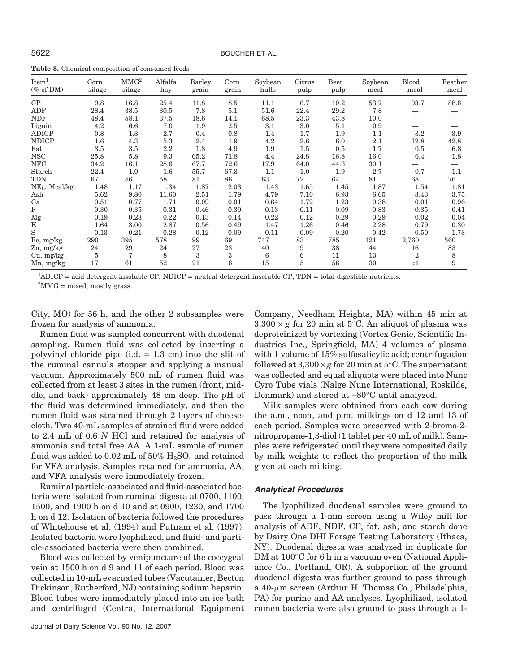| <b>Table 3.</b> Chemical composition of consumed feeds |  |  |  |
|--------------------------------------------------------|--|--|--|
|--------------------------------------------------------|--|--|--|

| Item <sup>1</sup><br>$(\% \text{ of } DM)$ | $_{\rm Corn}$<br>silage | MMG <sup>2</sup><br>silage | Alfalfa<br>hay | Barley<br>grain | Corn<br>grain | Soybean<br>hulls | Citrus<br>pulp | Beet<br>pulp | Soybean<br>meal | Blood<br>meal  | Feather<br>meal |
|--------------------------------------------|-------------------------|----------------------------|----------------|-----------------|---------------|------------------|----------------|--------------|-----------------|----------------|-----------------|
| CP                                         | 9.8                     | 16.8                       | 25.4           | 11.8            | 8.5           | 11.1             | 6.7            | 10.2         | 53.7            | 93.7           | 88.6            |
| ADF                                        | 28.4                    | 38.5                       | 30.5           | 7.8             | 5.1           | 51.6             | 22.4           | 29.2         | 7.8             |                |                 |
| <b>NDF</b>                                 | 48.4                    | 58.1                       | 37.5           | 18.6            | 14.1          | 68.5             | $23.3\,$       | 43.8         | 10.0            |                |                 |
| Lignin                                     | 4.2                     | 6.6                        | 7.0            | 1.9             | 2.5           | 3.1              | 3.0            | 5.1          | 0.9             |                |                 |
| <b>ADICP</b>                               | 0.8                     | 1.3                        | 2.7            | 0.4             | 0.8           | 1.4              | 1.7            | 1.9          | 1.1             | 3.2            | 3.9             |
| <b>NDICP</b>                               | $1.6\,$                 | 4.3                        | 5.3            | 2.4             | 1.9           | 4.2              | 2.6            | 6.0          | 2.1             | 12.8           | 42.8            |
| Fat                                        | 3.5                     | 3.5                        | 2.2            | 1.8             | 4.9           | 1.9              | $1.5\,$        | 0.5          | 1.7             | 0.5            | 6.8             |
| <b>NSC</b>                                 | 25.8                    | 5.8                        | 9.3            | 65.2            | 71.8          | 4.4              | 24.8           | 16.8         | 16.0            | 6.4            | 1.8             |
| <b>NFC</b>                                 | 34.2                    | 16.1                       | 28.6           | 67.7            | 72.6          | 17.9             | 64.0           | 44.6         | 30.1            |                |                 |
| Starch                                     | 22.4                    | 1.0                        | 1.6            | 55.7            | 67.3          | 1.1              | 1.0            | 1.9          | 2.7             | 0.7            | 1.1             |
| <b>TDN</b>                                 | 67                      | 56                         | 58             | 81              | 86            | 63               | 72             | 64           | 81              | 68             | 76              |
| $NEL$ , Mcal/kg                            | 1.48                    | 1.17                       | 1.34           | 1.87            | 2.03          | 1.43             | 1.65           | 1.45         | 1.87            | 1.54           | 1.81            |
| Ash                                        | 5.62                    | 9.80                       | 11.60          | 2.51            | 1.79          | 4.79             | 7.10           | 6.93         | 6.65            | 3.43           | 3.75            |
| Ca                                         | 0.51                    | 0.77                       | 1.71           | 0.09            | 0.01          | 0.64             | 1.72           | 1.23         | 0.38            | 0.01           | 0.96            |
| $\mathbf{P}$                               | 0.30                    | 0.35                       | 0.31           | 0.46            | 0.39          | 0.13             | 0.11           | 0.09         | 0.83            | 0.35           | 0.41            |
| $_{\rm Mg}$                                | 0.19                    | 0.23                       | 0.22           | 0.13            | 0.14          | 0.22             | 0.12           | 0.29         | 0.29            | 0.02           | 0.04            |
| K                                          | 1.64                    | 3.00                       | 2.87           | 0.56            | 0.49          | 1.47             | 1.26           | 0.46         | 2.28            | 0.79           | 0.30            |
| S                                          | 0.13                    | 0.21                       | 0.28           | 0.12            | 0.09          | 0.11             | 0.09           | 0.20         | 0.42            | 0.50           | 1.73            |
| Fe, mg/kg                                  | 290                     | 395                        | 578            | 99              | 69            | 747              | 83             | 785          | 121             | 2,760          | 560             |
| $Zn$ , mg/kg                               | 24                      | 29                         | 24             | 27              | 23            | 40               | 9              | 38           | 44              | 16             | 83              |
| Cu, mg/kg                                  | 5                       | 7                          | 8              | 3               | 3             | 6                | 6              | 11           | 13              | $\overline{2}$ | 8               |
| Mn, mg/kg                                  | 17                      | 61                         | 52             | 21              | 6             | 15               | $\overline{5}$ | 56           | 30              | $<$ 1          | 9               |

1 ADICP = acid detergent insoluble CP; NDICP = neutral detergent insoluble CP; TDN = total digestible nutrients.

 ${}^{2}$ MMG = mixed, mostly grass.

City, MO) for 56 h, and the other 2 subsamples were frozen for analysis of ammonia.

Rumen fluid was sampled concurrent with duodenal sampling. Rumen fluid was collected by inserting a polyvinyl chloride pipe (i.d. = 1.3 cm) into the slit of the ruminal cannula stopper and applying a manual vacuum. Approximately 500 mL of rumen fluid was collected from at least 3 sites in the rumen (front, middle, and back) approximately 48 cm deep. The pH of the fluid was determined immediately, and then the rumen fluid was strained through 2 layers of cheesecloth. Two 40-mL samples of strained fluid were added to 2.4 mL of 0.6 *N* HCl and retained for analysis of ammonia and total free AA. A 1-mL sample of rumen fluid was added to 0.02 mL of  $50\%$   $\text{H}_2\text{SO}_4$  and retained for VFA analysis. Samples retained for ammonia, AA, and VFA analysis were immediately frozen.

Ruminal particle-associated and fluid-associated bacteria were isolated from ruminal digesta at 0700, 1100, 1500, and 1900 h on d 10 and at 0900, 1230, and 1700 h on d 12. Isolation of bacteria followed the procedures of Whitehouse et al. (1994) and Putnam et al. (1997). Isolated bacteria were lyophilized, and fluid- and particle-associated bacteria were then combined.

Blood was collected by venipuncture of the coccygeal vein at 1500 h on d 9 and 11 of each period. Blood was collected in 10-mL evacuated tubes (Vacutainer, Becton Dickinson, Rutherford, NJ) containing sodium heparin. Blood tubes were immediately placed into an ice bath and centrifuged (Centra, International Equipment Company, Needham Heights, MA) within 45 min at  $3,300 \times g$  for 20 min at 5<sup>o</sup>C. An aliquot of plasma was deproteinized by vortexing (Vortex Genie, Scientific Industries Inc., Springfield, MA) 4 volumes of plasma with 1 volume of 15% sulfosalicylic acid; centrifugation followed at  $3,300 \times g$  for 20 min at  $5^{\circ}$ C. The supernatant was collected and equal aliquots were placed into Nunc Cyro Tube vials (Nalge Nunc International, Roskilde, Denmark) and stored at −80°C until analyzed.

Milk samples were obtained from each cow during the a.m., noon, and p.m. milkings on d 12 and 13 of each period. Samples were preserved with 2-bromo-2 nitropropane-1,3-diol (1 tablet per 40 mL of milk). Samples were refrigerated until they were composited daily by milk weights to reflect the proportion of the milk given at each milking.

## *Analytical Procedures*

The lyophilized duodenal samples were ground to pass through a 1-mm screen using a Wiley mill for analysis of ADF, NDF, CP, fat, ash, and starch done by Dairy One DHI Forage Testing Laboratory (Ithaca, NY). Duodenal digesta was analyzed in duplicate for DM at 100<sup>o</sup>C for 6 h in a vacuum oven (National Appliance Co., Portland, OR). A subportion of the ground duodenal digesta was further ground to pass through a 40-µm screen (Arthur H. Thomas Co., Philadelphia, PA) for purine and AA analyses. Lyophilized, isolated rumen bacteria were also ground to pass through a 1-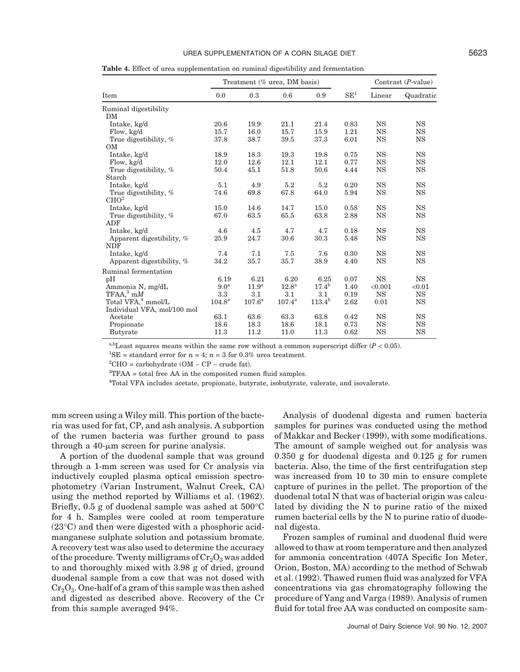#### UREA SUPPLEMENTATION OF A CORN SILAGE DIET **1990 CONDUCTS** 5623

**Table 4.** Effect of urea supplementation on ruminal digestibility and fermentation

|                                |                  |                   | Treatment (% urea, DM basis) |                | Contrast $(P$ -value) |           |           |
|--------------------------------|------------------|-------------------|------------------------------|----------------|-----------------------|-----------|-----------|
| Item                           | 0.0              | 0.3               | 0.6                          | 0.9            | SE <sup>1</sup>       | Linear    | Quadratic |
| Ruminal digestibility          |                  |                   |                              |                |                       |           |           |
| DM                             |                  |                   |                              |                |                       |           |           |
| Intake, kg/d                   | 20.6             | 19.9              | 21.1                         | 21.4           | 0.83                  | <b>NS</b> | <b>NS</b> |
| Flow, kg/d                     | 15.7             | 16.0              | 15.7                         | 15.9           | 1.21                  | <b>NS</b> | <b>NS</b> |
| True digestibility, %          | 37.8             | 38.7              | 39.5                         | 37.3           | 6.01                  | <b>NS</b> | <b>NS</b> |
| OM                             |                  |                   |                              |                |                       |           |           |
| Intake, kg/d                   | 18.9             | 18.3              | 19.3                         | 19.8           | 0.75                  | <b>NS</b> | <b>NS</b> |
| Flow, kg/d                     | 12.0             | 12.6              | 12.1                         | 12.1           | 0.77                  | <b>NS</b> | <b>NS</b> |
| True digestibility, %          | 50.4             | 45.1              | 51.8                         | 50.6           | 4.44                  | <b>NS</b> | <b>NS</b> |
| Starch                         |                  |                   |                              |                |                       |           |           |
| Intake, kg/d                   | 5.1              | 4.9               | 5.2                          | 5.2            | 0.20                  | <b>NS</b> | <b>NS</b> |
| True digestibility, %          | 74.6             | 69.8              | 67.8                         | 64.0           | 5.94                  | <b>NS</b> | <b>NS</b> |
| CHO <sup>2</sup>               |                  |                   |                              |                |                       |           |           |
| Intake, kg/d                   | 15.0             | 14.6              | 14.7                         | 15.0           | 0.58                  | <b>NS</b> | <b>NS</b> |
| True digestibility, %          | 67.0             | 63.5              | 65.5                         | 63.8           | 2.88                  | <b>NS</b> | NS        |
| ADF                            |                  |                   |                              |                |                       |           |           |
| Intake, kg/d                   | 4.6              | 4.5               | 4.7                          | 4.7            | 0.18                  | <b>NS</b> | <b>NS</b> |
| Apparent digestibility, %      | 25.9             | 24.7              | 30.6                         | 30.3           | 5.48                  | <b>NS</b> | <b>NS</b> |
| <b>NDF</b>                     |                  |                   |                              |                |                       |           |           |
| Intake, kg/d                   | 7.4              | 7.1               | 7.5                          | 7.6            | 0.30                  | <b>NS</b> | <b>NS</b> |
| Apparent digestibility, %      | 34.2             | 35.7              | 35.7                         | 38.9           | 4.40                  | <b>NS</b> | <b>NS</b> |
| Ruminal fermentation           |                  |                   |                              |                |                       |           |           |
| pH                             | 6.19             | 6.21              | 6.20                         | 6.25           | 0.07                  | <b>NS</b> | <b>NS</b> |
| Ammonia N, mg/dL               | 9.0 <sup>a</sup> | 11.9 <sup>a</sup> | 12.8 <sup>a</sup>            | $17.4^{\rm b}$ | 1.40                  | < 0.001   | < 0.01    |
| $TFAA$ <sup>3</sup> m $M$      | 3.3              | 3.1               | 3.1                          | 3.1            | 0.19                  | <b>NS</b> | <b>NS</b> |
| Total VFA, <sup>4</sup> mmol/L | $104.8^{\rm a}$  | $107.6^{\rm a}$   | $107.4^{\rm a}$              | $113.4^{b}$    | 2.62                  | 0.01      | <b>NS</b> |
| Individual VFA, mol/100 mol    |                  |                   |                              |                |                       |           |           |
| Acetate                        | 63.1             | 63.6              | 63.3                         | 63.8           | 0.42                  | <b>NS</b> | <b>NS</b> |
| Propionate                     | 18.6             | 18.3              | 18.6                         | 18.1           | 0.73                  | <b>NS</b> | <b>NS</b> |
| <b>Butyrate</b>                | 11.3             | 11.2              | 11.0                         | 11.3           | 0.62                  | <b>NS</b> | <b>NS</b> |

a,bLeast squares means within the same row without a common superscript differ  $(P < 0.05)$ .

<sup>1</sup>SE = standard error for  $n = 4$ ;  $n = 3$  for 0.3% urea treatment.

 ${}^{2}$ CHO = carbohydrate (OM – CP – crude fat).

<sup>3</sup>TFAA = total free AA in the composited rumen fluid samples.

4 Total VFA includes acetate, propionate, butyrate, isobutyrate, valerate, and isovalerate.

mm screen using a Wiley mill. This portion of the bacteria was used for fat, CP, and ash analysis. A subportion of the rumen bacteria was further ground to pass through a  $40$ - $\mu$ m screen for purine analysis.

A portion of the duodenal sample that was ground through a 1-mm screen was used for Cr analysis via inductively coupled plasma optical emission spectrophotometry (Varian Instrument, Walnut Creek, CA) using the method reported by Williams et al. (1962). Briefly, 0.5 g of duodenal sample was ashed at 500°C for 4 h. Samples were cooled at room temperature (23°C) and then were digested with a phosphoric acidmanganese sulphate solution and potassium bromate. A recovery test was also used to determine the accuracy of the procedure. Twenty milligrams of  $Cr_2O_3$  was added to and thoroughly mixed with 3.98 g of dried, ground duodenal sample from a cow that was not dosed with  $Cr<sub>2</sub>O<sub>3</sub>$ . One-half of a gram of this sample was then ashed and digested as described above. Recovery of the Cr from this sample averaged 94%.

Analysis of duodenal digesta and rumen bacteria samples for purines was conducted using the method of Makkar and Becker (1999), with some modifications. The amount of sample weighed out for analysis was 0.350 g for duodenal digesta and 0.125 g for rumen bacteria. Also, the time of the first centrifugation step was increased from 10 to 30 min to ensure complete capture of purines in the pellet. The proportion of the duodenal total N that was of bacterial origin was calculated by dividing the N to purine ratio of the mixed rumen bacterial cells by the N to purine ratio of duodenal digesta.

Frozen samples of ruminal and duodenal fluid were allowed to thaw at room temperature and then analyzed for ammonia concentration (407A Specific Ion Meter, Orion, Boston, MA) according to the method of Schwab et al. (1992). Thawed rumen fluid was analyzed for VFA concentrations via gas chromatography following the procedure of Yang and Varga (1989). Analysis of rumen fluid for total free AA was conducted on composite sam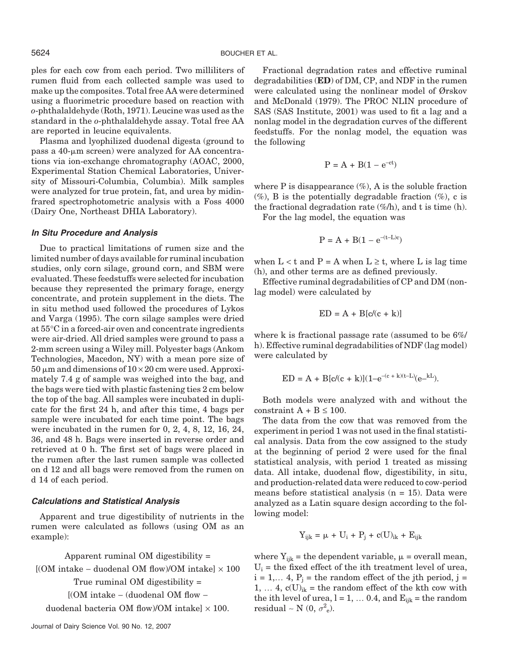ples for each cow from each period. Two milliliters of rumen fluid from each collected sample was used to make up the composites. Total free AA were determined using a fluorimetric procedure based on reaction with *o*-phthalaldehyde (Roth, 1971). Leucine was used as the standard in the *o*-phthalaldehyde assay. Total free AA are reported in leucine equivalents.

Plasma and lyophilized duodenal digesta (ground to pass a  $40$ - $\mu$ m screen) were analyzed for AA concentrations via ion-exchange chromatography (AOAC, 2000, Experimental Station Chemical Laboratories, University of Missouri-Columbia, Columbia). Milk samples were analyzed for true protein, fat, and urea by midinfrared spectrophotometric analysis with a Foss 4000 (Dairy One, Northeast DHIA Laboratory).

## *In Situ Procedure and Analysis*

Due to practical limitations of rumen size and the limited number of days available for ruminal incubation studies, only corn silage, ground corn, and SBM were evaluated. These feedstuffs were selected for incubation because they represented the primary forage, energy concentrate, and protein supplement in the diets. The in situ method used followed the procedures of Lykos and Varga (1995). The corn silage samples were dried at 55°C in a forced-air oven and concentrate ingredients were air-dried. All dried samples were ground to pass a 2-mm screen using a Wiley mill. Polyester bags (Ankom Technologies, Macedon, NY) with a mean pore size of  $50 \mu$ m and dimensions of  $10 \times 20$  cm were used. Approximately 7.4 g of sample was weighed into the bag, and the bags were tied with plastic fastening ties 2 cm below the top of the bag. All samples were incubated in duplicate for the first 24 h, and after this time, 4 bags per sample were incubated for each time point. The bags were incubated in the rumen for 0, 2, 4, 8, 12, 16, 24, 36, and 48 h. Bags were inserted in reverse order and retrieved at 0 h. The first set of bags were placed in the rumen after the last rumen sample was collected on d 12 and all bags were removed from the rumen on d 14 of each period.

#### *Calculations and Statistical Analysis*

Apparent and true digestibility of nutrients in the rumen were calculated as follows (using OM as an example):

Apparent ruminal OM digestibility = [(OM intake − duodenal OM flow)/OM intake] × 100 True ruminal OM digestibility = [(OM intake − (duodenal OM flow −

duodenal bacteria OM flow)/OM intake]  $\times$  100.

Fractional degradation rates and effective ruminal degradabilities (**ED**) of DM, CP, and NDF in the rumen were calculated using the nonlinear model of Ørskov and McDonald (1979). The PROC NLIN procedure of SAS (SAS Institute, 2001) was used to fit a lag and a nonlag model in the degradation curves of the different feedstuffs. For the nonlag model, the equation was the following

$$
P = A + B(1 - e^{-ct})
$$

where  $P$  is disappearance  $(\%)$ ,  $A$  is the soluble fraction  $(\%)$ , B is the potentially degradable fraction  $(\%)$ , c is the fractional degradation rate  $(\%$ /h), and t is time (h). For the lag model, the equation was

 $P = A + B(1 - e^{-(t-L)c})$ 

when  $L < t$  and  $P = A$  when  $L \geq t$ , where L is lag time (h), and other terms are as defined previously.

Effective ruminal degradabilities of CP and DM (nonlag model) were calculated by

$$
ED = A + B[c/(c + k)]
$$

where k is fractional passage rate (assumed to be  $6\%$ ) h). Effective ruminal degradabilities of NDF (lag model) were calculated by

$$
ED = A + B[c/(c+k)](1 - e^{-(c+k)(t-L)}(e^{-kL}).
$$

Both models were analyzed with and without the constraint  $A + B \le 100$ .

The data from the cow that was removed from the experiment in period 1 was not used in the final statistical analysis. Data from the cow assigned to the study at the beginning of period 2 were used for the final statistical analysis, with period 1 treated as missing data. All intake, duodenal flow, digestibility, in situ, and production-related data were reduced to cow-period means before statistical analysis  $(n = 15)$ . Data were analyzed as a Latin square design according to the following model:

$$
Y_{ijk} = \mu + U_i + P_j + c(U)_{ik} + E_{ijk}
$$

where  $Y_{ijk}$  = the dependent variable,  $\mu$  = overall mean,  $U_i$  = the fixed effect of the ith treatment level of urea,  $i = 1,... 4$ ,  $P_i$  = the random effect of the jth period, j = 1, ... 4,  $c(U)_{ik}$  = the random effect of the kth cow with the ith level of urea,  $l = 1, \ldots 0.4$ , and  $E_{iik} =$  the random residual ~ N (0,  $\sigma^2_{\rm e}$ ).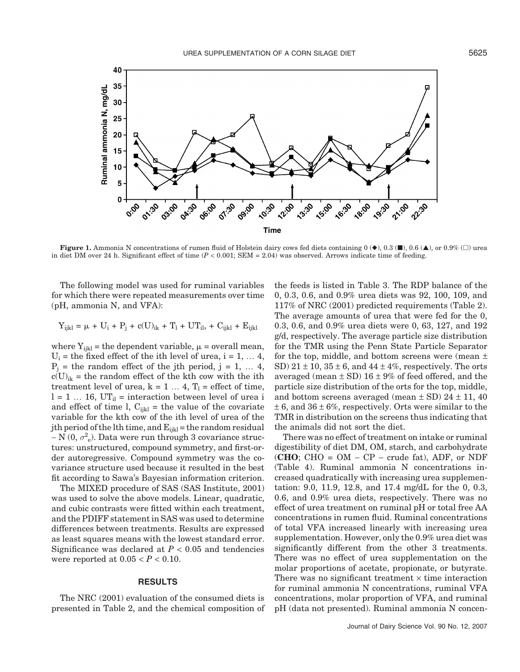

**Figure 1.** Ammonia N concentrations of rumen fluid of Holstein dairy cows fed diets containing  $0 \left( \bullet \right)$ , 0.3 ( $\blacksquare$ ), 0.6 ( $\blacktriangle$ ), or 0.9% ( $\square$ ) urea in diet DM over 24 h. Significant effect of time  $(P < 0.001$ ; SEM = 2.04) was observed. Arrows indicate time of feeding.

The following model was used for ruminal variables for which there were repeated measurements over time (pH, ammonia N, and VFA):

$$
Y_{ijkl} = \mu + U_i + P_j + c(U)_{ik} + T_l + UT_{il} + C_{ijkl} + E_{ijkl}
$$

where  $Y_{ijkl}$  = the dependent variable,  $\mu$  = overall mean,  $U_i$  = the fixed effect of the ith level of urea,  $i = 1, \ldots 4$ ,  $P_i$  = the random effect of the jth period, j = 1, ... 4,  $c(U)_{ik}$  = the random effect of the kth cow with the ith treatment level of urea,  $k = 1 ... 4$ ,  $T_1$  = effect of time,  $l = 1 ... 16$ , UT<sub>il</sub> = interaction between level of urea i and effect of time l,  $C_{ijkl}$  = the value of the covariate variable for the kth cow of the ith level of urea of the jth period of the lth time, and  $E_{ijkl}$  = the random residual  $~\sim$  N (0,  $\sigma^2$ <sub>e</sub>). Data were run through 3 covariance structures: unstructured, compound symmetry, and first-order autoregressive. Compound symmetry was the covariance structure used because it resulted in the best fit according to Sawa's Bayesian information criterion.

The MIXED procedure of SAS (SAS Institute, 2001) was used to solve the above models. Linear, quadratic, and cubic contrasts were fitted within each treatment, and the PDIFF statement in SAS was used to determine differences between treatments. Results are expressed as least squares means with the lowest standard error. Significance was declared at  $P < 0.05$  and tendencies were reported at  $0.05 < P < 0.10$ .

#### **RESULTS**

The NRC (2001) evaluation of the consumed diets is presented in Table 2, and the chemical composition of the feeds is listed in Table 3. The RDP balance of the 0, 0.3, 0.6, and 0.9% urea diets was 92, 100, 109, and 117% of NRC (2001) predicted requirements (Table 2). The average amounts of urea that were fed for the 0, 0.3, 0.6, and 0.9% urea diets were 0, 63, 127, and 192 g/d, respectively. The average particle size distribution for the TMR using the Penn State Particle Separator for the top, middle, and bottom screens were (mean  $\pm$ SD)  $21 \pm 10$ ,  $35 \pm 6$ , and  $44 \pm 4\%$ , respectively. The orts averaged (mean  $\pm$  SD) 16  $\pm$  9% of feed offered, and the particle size distribution of the orts for the top, middle, and bottom screens averaged (mean  $\pm$  SD) 24  $\pm$  11, 40  $\pm$  6, and 36  $\pm$  6%, respectively. Orts were similar to the TMR in distribution on the screens thus indicating that the animals did not sort the diet.

There was no effect of treatment on intake or ruminal digestibility of diet DM, OM, starch, and carbohydrate (**CHO**; CHO = OM − CP − crude fat), ADF, or NDF (Table 4). Ruminal ammonia N concentrations increased quadratically with increasing urea supplementation: 9.0, 11.9, 12.8, and 17.4 mg/dL for the 0, 0.3, 0.6, and 0.9% urea diets, respectively. There was no effect of urea treatment on ruminal pH or total free AA concentrations in rumen fluid. Ruminal concentrations of total VFA increased linearly with increasing urea supplementation. However, only the 0.9% urea diet was significantly different from the other 3 treatments. There was no effect of urea supplementation on the molar proportions of acetate, propionate, or butyrate. There was no significant treatment  $\times$  time interaction for ruminal ammonia N concentrations, ruminal VFA concentrations, molar proportion of VFA, and ruminal pH (data not presented). Ruminal ammonia N concen-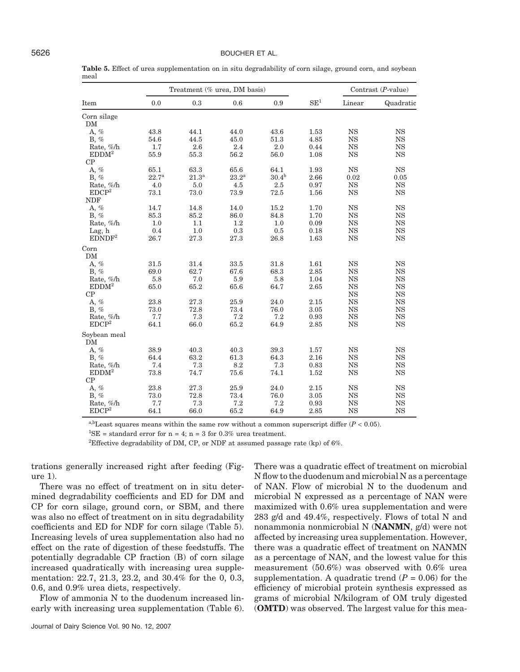#### 5626 BOUCHER ET AL.

|                    |                | Treatment (% urea, DM basis) |                |            | Contrast $(P$ -value) |             |             |
|--------------------|----------------|------------------------------|----------------|------------|-----------------------|-------------|-------------|
| Item               | 0.0            | 0.3                          | 0.6            | 0.9        | SE <sup>1</sup>       | Linear      | Quadratic   |
| Corn silage        |                |                              |                |            |                       |             |             |
| DM                 |                |                              |                |            |                       |             |             |
| A, %               | 43.8           | 44.1                         | 44.0           | 43.6       | 1.53                  | <b>NS</b>   | <b>NS</b>   |
| $B, \%$            | 54.6           | 44.5                         | 45.0           | 51.3       | 4.85                  | $_{\rm NS}$ | <b>NS</b>   |
| Rate, %/h          | 1.7            | 2.6                          | 2.4            | 2.0        | 0.44                  | $_{\rm NS}$ | $_{\rm NS}$ |
| EDDM <sup>2</sup>  | 55.9           | 55.3                         | 56.2           | 56.0       | 1.08                  | <b>NS</b>   | $_{\rm NS}$ |
| CP                 |                |                              |                |            |                       |             |             |
| A, %               | 65.1           | 63.3                         | 65.6           | 64.1       | 1.93                  | <b>NS</b>   | $_{\rm NS}$ |
| $B, \%$            | $22.7^{\rm a}$ | 21.3 <sup>a</sup>            | $23.2^{\rm a}$ | $30.4^{b}$ | 2.66                  | 0.02        | 0.05        |
| Rate, %/h          | 4.0            | 5.0                          | 4.5            | 2.5        | 0.97                  | <b>NS</b>   | $_{\rm NS}$ |
| EDCP <sup>2</sup>  | 73.1           | 73.0                         | 73.9           | 72.5       | 1.56                  | <b>NS</b>   | $_{\rm NS}$ |
| <b>NDF</b>         |                |                              |                |            |                       |             |             |
| A, %               | 14.7           | 14.8                         | 14.0           | 15.2       | 1.70                  | <b>NS</b>   | $_{\rm NS}$ |
| B, %               | 85.3           | 85.2                         | 86.0           | 84.8       | 1.70                  | <b>NS</b>   | <b>NS</b>   |
| Rate, %/h          | 1.0            | 1.1                          | 1.2            | 1.0        | 0.09                  | $_{\rm NS}$ | $_{\rm NS}$ |
| Lag, h             | 0.4            | 1.0                          | 0.3            | 0.5        | 0.18                  | $_{\rm NS}$ | $_{\rm NS}$ |
| EDNDF <sup>2</sup> | 26.7           | 27.3                         | 27.3           | 26.8       | 1.63                  | <b>NS</b>   | <b>NS</b>   |
| Corn               |                |                              |                |            |                       |             |             |
| DM                 |                |                              |                |            |                       |             |             |
| A, %               | 31.5           | 31.4                         | 33.5           | 31.8       | 1.61                  | <b>NS</b>   | <b>NS</b>   |
| $B, \%$            | 69.0           | 62.7                         | 67.6           | 68.3       | 2.85                  | $_{\rm NS}$ | $_{\rm NS}$ |
| Rate, %/h          | 5.8            | 7.0                          | 5.9            | 5.8        | 1.04                  | $_{\rm NS}$ | $_{\rm NS}$ |
| EDDM <sup>2</sup>  | 65.0           | 65.2                         | 65.6           | 64.7       | 2.65                  | $_{\rm NS}$ | $_{\rm NS}$ |
| CP                 |                |                              |                |            |                       | $_{\rm NS}$ | $_{\rm NS}$ |
| A, %               | 23.8           | 27.3                         | 25.9           | 24.0       | 2.15                  | <b>NS</b>   | $_{\rm NS}$ |
| $B, \%$            | 73.0           | 72.8                         | 73.4           | 76.0       | 3.05                  | <b>NS</b>   | $_{\rm NS}$ |
| Rate, %/h          | 7.7            | 7.3                          | 7.2            | 7.2        | 0.93                  | $_{\rm NS}$ | $_{\rm NS}$ |
| EDCP <sup>2</sup>  | 64.1           | 66.0                         | 65.2           | 64.9       | 2.85                  | <b>NS</b>   | $_{\rm NS}$ |
| Soybean meal<br>DM |                |                              |                |            |                       |             |             |
| A, %               | 38.9           | 40.3                         | 40.3           | 39.3       | 1.57                  | <b>NS</b>   | <b>NS</b>   |
| $B, \%$            | 64.4           | 63.2                         | 61.3           | 64.3       | 2.16                  | <b>NS</b>   | $_{\rm NS}$ |
| Rate, %/h          | 7.4            | 7.3                          | 8.2            | 7.3        | 0.83                  | <b>NS</b>   | $_{\rm NS}$ |
| EDDM <sup>2</sup>  | 73.8           | 74.7                         | 75.6           | 74.1       | 1.52                  | $_{\rm NS}$ | $_{\rm NS}$ |
| CP                 |                |                              |                |            |                       |             |             |
| A, %               | 23.8           | 27.3                         | 25.9           | 24.0       | 2.15                  | <b>NS</b>   | $_{\rm NS}$ |
| $B, \%$            | 73.0           | 72.8                         | 73.4           | 76.0       | 3.05                  | <b>NS</b>   | $_{\rm NS}$ |
| Rate, %/h          | 7.7            | 7.3                          | 7.2            | 7.2        | 0.93                  | <b>NS</b>   | <b>NS</b>   |
| EDCP <sup>2</sup>  | 64.1           | 66.0                         | 65.2           | 64.9       | 2.85                  | <b>NS</b>   | <b>NS</b>   |

Table 5. Effect of urea supplementation on in situ degradability of corn silage, ground corn, and soybean meal

a,bLeast squares means within the same row without a common superscript differ  $(P < 0.05)$ .

<sup>1</sup>SE = standard error for  $n = 4$ ;  $n = 3$  for 0.3% urea treatment.

<sup>2</sup>Effective degradability of DM, CP, or NDF at assumed passage rate (kp) of 6%.

trations generally increased right after feeding (Figure 1).

There was no effect of treatment on in situ determined degradability coefficients and ED for DM and CP for corn silage, ground corn, or SBM, and there was also no effect of treatment on in situ degradability coefficients and ED for NDF for corn silage (Table 5). Increasing levels of urea supplementation also had no effect on the rate of digestion of these feedstuffs. The potentially degradable CP fraction (B) of corn silage increased quadratically with increasing urea supplementation: 22.7, 21.3, 23.2, and 30.4% for the 0, 0.3, 0.6, and 0.9% urea diets, respectively.

Flow of ammonia N to the duodenum increased linearly with increasing urea supplementation (Table 6). There was a quadratic effect of treatment on microbial N flow to the duodenum and microbial N as a percentage of NAN. Flow of microbial N to the duodenum and microbial N expressed as a percentage of NAN were maximized with 0.6% urea supplementation and were 283 g/d and 49.4%, respectively. Flows of total N and nonammonia nonmicrobial N (**NANMN**, g/d) were not affected by increasing urea supplementation. However, there was a quadratic effect of treatment on NANMN as a percentage of NAN, and the lowest value for this measurement (50.6%) was observed with 0.6% urea supplementation. A quadratic trend  $(P = 0.06)$  for the efficiency of microbial protein synthesis expressed as grams of microbial N/kilogram of OM truly digested (**OMTD**) was observed. The largest value for this mea-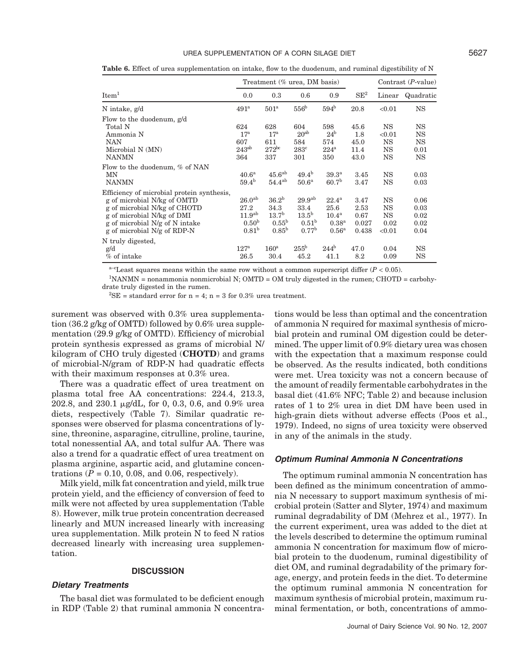#### UREA SUPPLEMENTATION OF A CORN SILAGE DIET **5627**

Table 6. Effect of urea supplementation on intake, flow to the duodenum, and ruminal digestibility of N

|                                                                                                                                                                                                          |                                                                                     | Treatment (% urea, DM basis)                                                   |                                                                                    | Contrast $(P-value)$                                                                  |                                        |                                                |                                                   |  |
|----------------------------------------------------------------------------------------------------------------------------------------------------------------------------------------------------------|-------------------------------------------------------------------------------------|--------------------------------------------------------------------------------|------------------------------------------------------------------------------------|---------------------------------------------------------------------------------------|----------------------------------------|------------------------------------------------|---------------------------------------------------|--|
| $\mathop{\mathrm{Item}}\nolimits^1$                                                                                                                                                                      | 0.0                                                                                 | 0.3                                                                            | 0.6                                                                                | 0.9                                                                                   | $SE^2$                                 | Linear                                         | Quadratic                                         |  |
| N intake, g/d                                                                                                                                                                                            | 491 <sup>a</sup>                                                                    | 501 <sup>a</sup>                                                               | 556 <sup>b</sup>                                                                   | 594 <sup>b</sup>                                                                      | 20.8                                   | < 0.01                                         | <b>NS</b>                                         |  |
| Flow to the duodenum, g/d<br>Total N<br>Ammonia N<br><b>NAN</b><br>Microbial N (MN)<br><b>NANMN</b>                                                                                                      | 624<br>$17^{\rm a}$<br>607<br>$243^{ab}$<br>364                                     | 628<br>$17^{\rm a}$<br>611<br>$272^{bc}$<br>337                                | 604<br>20 <sup>ab</sup><br>584<br>$283^{\circ}$<br>301                             | 598<br>24 <sup>b</sup><br>574<br>$224^{\mathrm{a}}$<br>350                            | 45.6<br>1.8<br>45.0<br>11.4<br>43.0    | <b>NS</b><br>< 0.01<br><b>NS</b><br>NS<br>NS   | <b>NS</b><br><b>NS</b><br><b>NS</b><br>0.01<br>NS |  |
| Flow to the duodenum, % of NAN<br>MΝ<br><b>NANMN</b>                                                                                                                                                     | 40.6 <sup>a</sup><br>$59.4^{b}$                                                     | 45.6 <sup>ab</sup><br>$54.4^{ab}$                                              | $49.4^{b}$<br>50.6 <sup>a</sup>                                                    | 39.3 <sup>a</sup><br>60.7 <sup>b</sup>                                                | 3.45<br>3.47                           | <b>NS</b><br>NS                                | 0.03<br>0.03                                      |  |
| Efficiency of microbial protein synthesis,<br>g of microbial N/kg of OMTD<br>g of microbial N/kg of CHOTD<br>g of microbial N/kg of DMI<br>g of microbial N/g of N intake<br>g of microbial N/g of RDP-N | 26.0 <sup>ab</sup><br>27.2<br>11.9 <sup>ab</sup><br>0.50 <sup>b</sup><br>$0.81^{b}$ | 36.2 <sup>b</sup><br>34.3<br>13.7 <sup>b</sup><br>$0.55^{\rm b}$<br>$0.85^{b}$ | 29.9 <sup>ab</sup><br>33.4<br>13.5 <sup>b</sup><br>0.51 <sup>b</sup><br>$0.77^{b}$ | $22.4^{\rm a}$<br>25.6<br>10.4 <sup>a</sup><br>0.38 <sup>a</sup><br>0.56 <sup>a</sup> | 3.47<br>2.53<br>0.67<br>0.027<br>0.438 | <b>NS</b><br>NS<br><b>NS</b><br>0.02<br>< 0.01 | 0.06<br>0.03<br>0.02<br>0.02<br>0.04              |  |
| N truly digested,<br>g/d<br>% of intake                                                                                                                                                                  | 127 <sup>a</sup><br>26.5                                                            | $160^{\rm a}$<br>30.4                                                          | $255^{\rm b}$<br>45.2                                                              | $244^{\rm b}$<br>41.1                                                                 | 47.0<br>8.2                            | 0.04<br>0.09                                   | <b>NS</b><br>NS                                   |  |

 $a$ <sup>-c</sup>Least squares means within the same row without a common superscript differ ( $P < 0.05$ ).

1 NANMN = nonammonia nonmicrobial N; OMTD = OM truly digested in the rumen; CHOTD = carbohydrate truly digested in the rumen.

 ${}^{2}$ SE = standard error for n = 4; n = 3 for 0.3% urea treatment.

surement was observed with 0.3% urea supplementation (36.2 g/kg of OMTD) followed by 0.6% urea supplementation (29.9 g/kg of OMTD). Efficiency of microbial protein synthesis expressed as grams of microbial N/ kilogram of CHO truly digested (**CHOTD**) and grams of microbial-N/gram of RDP-N had quadratic effects with their maximum responses at 0.3% urea.

There was a quadratic effect of urea treatment on plasma total free AA concentrations: 224.4, 213.3, 202.8, and  $230.1 \mu g/dL$ , for 0, 0.3, 0.6, and 0.9% urea diets, respectively (Table 7). Similar quadratic responses were observed for plasma concentrations of lysine, threonine, asparagine, citrulline, proline, taurine, total nonessential AA, and total sulfur AA. There was also a trend for a quadratic effect of urea treatment on plasma arginine, aspartic acid, and glutamine concentrations  $(P = 0.10, 0.08, \text{ and } 0.06, \text{ respectively.}$ 

Milk yield, milk fat concentration and yield, milk true protein yield, and the efficiency of conversion of feed to milk were not affected by urea supplementation (Table 8). However, milk true protein concentration decreased linearly and MUN increased linearly with increasing urea supplementation. Milk protein N to feed N ratios decreased linearly with increasing urea supplementation.

#### **DISCUSSION**

#### *Dietary Treatments*

The basal diet was formulated to be deficient enough in RDP (Table 2) that ruminal ammonia N concentrations would be less than optimal and the concentration of ammonia N required for maximal synthesis of microbial protein and ruminal OM digestion could be determined. The upper limit of 0.9% dietary urea was chosen with the expectation that a maximum response could be observed. As the results indicated, both conditions were met. Urea toxicity was not a concern because of the amount of readily fermentable carbohydrates in the basal diet (41.6% NFC; Table 2) and because inclusion rates of 1 to 2% urea in diet DM have been used in high-grain diets without adverse effects (Poos et al., 1979). Indeed, no signs of urea toxicity were observed in any of the animals in the study.

#### *Optimum Ruminal Ammonia N Concentrations*

The optimum ruminal ammonia N concentration has been defined as the minimum concentration of ammonia N necessary to support maximum synthesis of microbial protein (Satter and Slyter, 1974) and maximum ruminal degradability of DM (Mehrez et al., 1977). In the current experiment, urea was added to the diet at the levels described to determine the optimum ruminal ammonia N concentration for maximum flow of microbial protein to the duodenum, ruminal digestibility of diet OM, and ruminal degradability of the primary forage, energy, and protein feeds in the diet. To determine the optimum ruminal ammonia N concentration for maximum synthesis of microbial protein, maximum ruminal fermentation, or both, concentrations of ammo-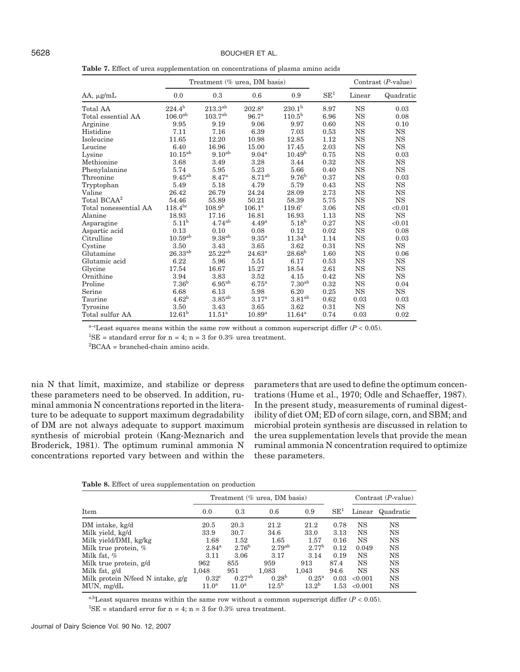**Table 7.** Effect of urea supplementation on concentrations of plasma amino acids

|                         |                       | Treatment (% urea, DM basis) |                   |                    |                 | Contrast $(P-value)$ |             |
|-------------------------|-----------------------|------------------------------|-------------------|--------------------|-----------------|----------------------|-------------|
| $AA$ , $\mu$ g/mL       | 0.0                   | 0.3                          | 0.6               | 0.9                | $\mathrm{SE}^1$ | Linear               | Quadratic   |
| Total AA                | $224.4^{b}$           | $213.3^{ab}$                 | $202.8^{\rm a}$   | $230.1^{b}$        | 8.97            | <b>NS</b>            | 0.03        |
| Total essential AA      | $106.0^{ab}$          | $103.7^{ab}$                 | 96.7 <sup>a</sup> | $110.5^{\rm b}$    | 6.96            | $_{\rm NS}$          | 0.08        |
| Arginine                | 9.95                  | 9.19                         | 9.06              | 9.97               | 0.60            | <b>NS</b>            | 0.10        |
| Histidine               | 7.11                  | 7.16                         | 6.39              | 7.03               | 0.53            | <b>NS</b>            | <b>NS</b>   |
| Isoleucine              | 11.65                 | 12.20                        | 10.98             | 12.85              | 1.12            | $_{\rm NS}$          | $_{\rm NS}$ |
| Leucine                 | 6.40                  | 16.96                        | 15.00             | 17.45              | 2.03            | <b>NS</b>            | <b>NS</b>   |
| Lysine                  | $10.15^{ab}$          | $9.10^{ab}$                  | $9.04^{\rm a}$    | 10.49 <sup>b</sup> | 0.75            | $_{\rm NS}$          | 0.03        |
| Methionine              | 3.68                  | 3.49                         | 3.28              | 3.44               | 0.32            | $_{\rm NS}$          | $_{\rm NS}$ |
| Phenylalanine           | 5.74                  | 5.95                         | 5.23              | 5.66               | 0.40            | <b>NS</b>            | <b>NS</b>   |
| Threonine               | $9.45^{ab}$           | 8.47 <sup>a</sup>            | $8.71^{ab}$       | 9.76 <sup>b</sup>  | 0.37            | <b>NS</b>            | 0.03        |
| Tryptophan              | 5.49                  | 5.18                         | 4.79              | 5.79               | 0.43            | <b>NS</b>            | $_{\rm NS}$ |
| Valine                  | 26.42                 | 26.79                        | 24.24             | 28.09              | 2.73            | <b>NS</b>            | <b>NS</b>   |
| Total BCAA <sup>2</sup> | 54.46                 | 55.89                        | 50.21             | 58.39              | 5.75            | <b>NS</b>            | <b>NS</b>   |
| Total nonessential AA   | $118.4^{bc}$          | 108.9 <sup>b</sup>           | $106.1^{\rm a}$   | 119.6 <sup>c</sup> | 3.06            | $_{\rm NS}$          | < 0.01      |
| Alanine                 | 18.93                 | 17.16                        | 16.81             | 16.93              | 1.13            | <b>NS</b>            | <b>NS</b>   |
| Asparagine              | $5.11^{\rm b}$        | $4.74^{ab}$                  | 4.49 <sup>a</sup> | 5.18 <sup>b</sup>  | 0.27            | $_{\rm NS}$          | < 0.01      |
| Aspartic acid           | 0.13                  | 0.10                         | 0.08              | 0.12               | 0.02            | <b>NS</b>            | 0.08        |
| Citrulline              | $10.59$ <sup>ab</sup> | $9.38^{ab}$                  | 9.35 <sup>a</sup> | $11.34^{b}$        | 1.14            | $_{\rm NS}$          | 0.03        |
| Cystine                 | 3.50                  | 3.43                         | 3.65              | 3.62               | 0.31            | <b>NS</b>            | <b>NS</b>   |
| Glutamine               | $26.33^{ab}$          | $25.22^{ab}$                 | $24.63^{\rm a}$   | $28.68^{b}$        | 1.60            | <b>NS</b>            | 0.06        |
| Glutamic acid           | 6.22                  | 5.96                         | 5.51              | 6.17               | 0.53            | $_{\rm NS}$          | $_{\rm NS}$ |
| Glycine                 | 17.54                 | 16.67                        | 15.27             | 18.54              | 2.61            | $_{\rm NS}$          | $_{\rm NS}$ |
| Ornithine               | 3.94                  | 3.83                         | 3.52              | 4.15               | 0.42            | <b>NS</b>            | <b>NS</b>   |
| Proline                 | 7.36 <sup>b</sup>     | $6.95^{ab}$                  | 6.75 <sup>a</sup> | 7.30 <sup>ab</sup> | 0.32            | <b>NS</b>            | 0.04        |
| Serine                  | 6.68                  | 6.13                         | 5.98              | 6.20               | 0.25            | $_{\rm NS}$          | $_{\rm NS}$ |
| Taurine                 | 4.62 <sup>b</sup>     | $3.85^{ab}$                  | 3.17 <sup>a</sup> | 3.81 <sup>ab</sup> | 0.62            | 0.03                 | 0.03        |
| Tyrosine                | 3.50                  | 3.43                         | 3.65              | 3.62               | 0.31            | <b>NS</b>            | $_{\rm NS}$ |
| Total sulfur AA         | $12.61^{b}$           | $11.51^a$                    | $10.89^{a}$       | $11.64^{\rm a}$    | 0.74            | 0.03                 | 0.02        |

 $a$ <sup>-c</sup>Least squares means within the same row without a common superscript differ ( $P < 0.05$ ).

<sup>1</sup>SE = standard error for  $n = 4$ ;  $n = 3$  for 0.3% urea treatment.

2 BCAA = branched-chain amino acids.

nia N that limit, maximize, and stabilize or depress these parameters need to be observed. In addition, ruminal ammonia N concentrations reported in the literature to be adequate to support maximum degradability of DM are not always adequate to support maximum synthesis of microbial protein (Kang-Meznarich and Broderick, 1981). The optimum ruminal ammonia N concentrations reported vary between and within the parameters that are used to define the optimum concentrations (Hume et al., 1970; Odle and Schaeffer, 1987). In the present study, measurements of ruminal digestibility of diet OM; ED of corn silage, corn, and SBM; and microbial protein synthesis are discussed in relation to the urea supplementation levels that provide the mean ruminal ammonia N concentration required to optimize these parameters.

**Table 8.** Effect of urea supplementation on production

|                                   | Treatment (% urea, DM basis) |                    | Contrast $(P-value)$ |                   |                 |         |                  |
|-----------------------------------|------------------------------|--------------------|----------------------|-------------------|-----------------|---------|------------------|
| Item                              | 0.0                          | 0.3                | 0.6                  | 0.9               | SE <sup>1</sup> |         | Linear Quadratic |
| DM intake, kg/d                   | 20.5                         | 20.3               | 21.2                 | 21.2              | 0.78            | NS      | <b>NS</b>        |
| Milk yield, kg/d                  | 33.9                         | 30.7               | 34.6                 | 33.0              | 3.13            | NS      | <b>NS</b>        |
| Milk yield/DMI, kg/kg             | 1.68                         | 1.52               | 1.65                 | 1.57              | 0.16            | NS      | <b>NS</b>        |
| Milk true protein, %              | $2.84^{a}$                   | 2.76 <sup>b</sup>  | 2.79 <sup>ab</sup>   | 2.77 <sup>b</sup> | 0.12            | 0.049   | <b>NS</b>        |
| Milk fat, %                       | 3.11                         | 3.06               | 3.17                 | 3.14              | 0.19            | NS      | <b>NS</b>        |
| Milk true protein, g/d            | 962                          | 855                | 959                  | 913               | 87.4            | NS      | <b>NS</b>        |
| Milk fat, g/d                     | 1.048                        | 951                | 1.083                | 1.043             | 94.6            | NS      | <b>NS</b>        |
| Milk protein N/feed N intake, g/g | $0.32^{\circ}$               | 0.27 <sup>ab</sup> | $0.28^{b}$           | $0.25^{\rm a}$    | 0.03            | < 0.001 | <b>NS</b>        |
| MUN, mg/dL                        | $11.0^a$                     | $11.0^a$           | $12.5^{b}$           | $13.2^{b}$        | 1.53            | < 0.001 | NS               |

a,bLeast squares means within the same row without a common superscript differ  $(P < 0.05)$ .

<sup>1</sup>SE = standard error for  $n = 4$ ;  $n = 3$  for 0.3% urea treatment.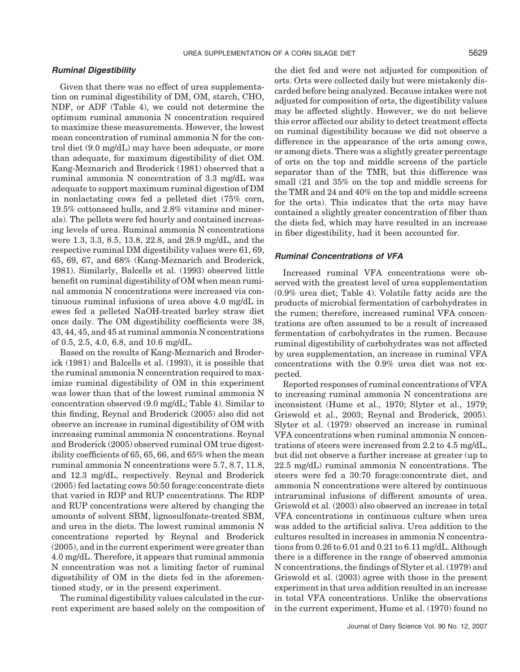#### *Ruminal Digestibility*

Given that there was no effect of urea supplementation on ruminal digestibility of DM, OM, starch, CHO, NDF, or ADF (Table 4), we could not determine the optimum ruminal ammonia N concentration required to maximize these measurements. However, the lowest mean concentration of ruminal ammonia N for the control diet (9.0 mg/dL) may have been adequate, or more than adequate, for maximum digestibility of diet OM. Kang-Meznarich and Broderick (1981) observed that a ruminal ammonia N concentration of 3.3 mg/dL was adequate to support maximum ruminal digestion of DM in nonlactating cows fed a pelleted diet (75% corn, 19.5% cottonseed hulls, and 2.8% vitamins and minerals). The pellets were fed hourly and contained increasing levels of urea. Ruminal ammonia N concentrations were 1.3, 3.3, 8.5, 13.8, 22.8, and 28.9 mg/dL, and the respective ruminal DM digestibility values were 61, 69, 65, 69, 67, and 68% (Kang-Meznarich and Broderick, 1981). Similarly, Balcells et al. (1993) observed little benefit on ruminal digestibility of OM when mean ruminal ammonia N concentrations were increased via continuous ruminal infusions of urea above 4.0 mg/dL in ewes fed a pelleted NaOH-treated barley straw diet once daily. The OM digestibility coefficients were 38, 43, 44, 45, and 45 at ruminal ammonia N concentrations of 0.5, 2.5, 4.0, 6.8, and 10.6 mg/dL.

Based on the results of Kang-Meznarich and Broderick (1981) and Balcells et al. (1993), it is possible that the ruminal ammonia N concentration required to maximize ruminal digestibility of OM in this experiment was lower than that of the lowest ruminal ammonia N concentration observed (9.0 mg/dL; Table 4). Similar to this finding, Reynal and Broderick (2005) also did not observe an increase in ruminal digestibility of OM with increasing ruminal ammonia N concentrations. Reynal and Broderick (2005) observed ruminal OM true digestibility coefficients of 65, 65, 66, and 65% when the mean ruminal ammonia N concentrations were 5.7, 8.7, 11.8, and 12.3 mg/dL, respectively. Reynal and Broderick (2005) fed lactating cows 50:50 forage:concentrate diets that varied in RDP and RUP concentrations. The RDP and RUP concentrations were altered by changing the amounts of solvent SBM, lignosulfonate-treated SBM, and urea in the diets. The lowest ruminal ammonia N concentrations reported by Reynal and Broderick (2005), and in the current experiment were greater than 4.0 mg/dL. Therefore, it appears that ruminal ammonia N concentration was not a limiting factor of ruminal digestibility of OM in the diets fed in the aforementioned study, or in the present experiment.

The ruminal digestibility values calculated in the current experiment are based solely on the composition of the diet fed and were not adjusted for composition of orts. Orts were collected daily but were mistakenly discarded before being analyzed. Because intakes were not adjusted for composition of orts, the digestibility values may be affected slightly. However, we do not believe this error affected our ability to detect treatment effects on ruminal digestibility because we did not observe a difference in the appearance of the orts among cows, or among diets. There was a slightly greater percentage of orts on the top and middle screens of the particle separator than of the TMR, but this difference was small (21 and 35% on the top and middle screens for the TMR and 24 and 40% on the top and middle screens for the orts). This indicates that the orts may have contained a slightly greater concentration of fiber than the diets fed, which may have resulted in an increase in fiber digestibility, had it been accounted for.

## *Ruminal Concentrations of VFA*

Increased ruminal VFA concentrations were observed with the greatest level of urea supplementation (0.9% urea diet; Table 4). Volatile fatty acids are the products of microbial fermentation of carbohydrates in the rumen; therefore, increased ruminal VFA concentrations are often assumed to be a result of increased fermentation of carbohydrates in the rumen. Because ruminal digestibility of carbohydrates was not affected by urea supplementation, an increase in ruminal VFA concentrations with the 0.9% urea diet was not expected.

Reported responses of ruminal concentrations of VFA to increasing ruminal ammonia N concentrations are inconsistent (Hume et al., 1970; Slyter et al., 1979; Griswold et al., 2003; Reynal and Broderick, 2005). Slyter et al. (1979) observed an increase in ruminal VFA concentrations when ruminal ammonia N concentrations of steers were increased from 2.2 to 4.5 mg/dL, but did not observe a further increase at greater (up to 22.5 mg/dL) ruminal ammonia N concentrations. The steers were fed a 30:70 forage:concentrate diet, and ammonia N concentrations were altered by continuous intraruminal infusions of different amounts of urea. Griswold et al. (2003) also observed an increase in total VFA concentrations in continuous culture when urea was added to the artificial saliva. Urea addition to the cultures resulted in increases in ammonia N concentrations from 0.26 to 6.01 and 0.21 to 6.11 mg/dL. Although there is a difference in the range of observed ammonia N concentrations, the findings of Slyter et al. (1979) and Griswold et al. (2003) agree with those in the present experiment in that urea addition resulted in an increase in total VFA concentrations. Unlike the observations in the current experiment, Hume et al. (1970) found no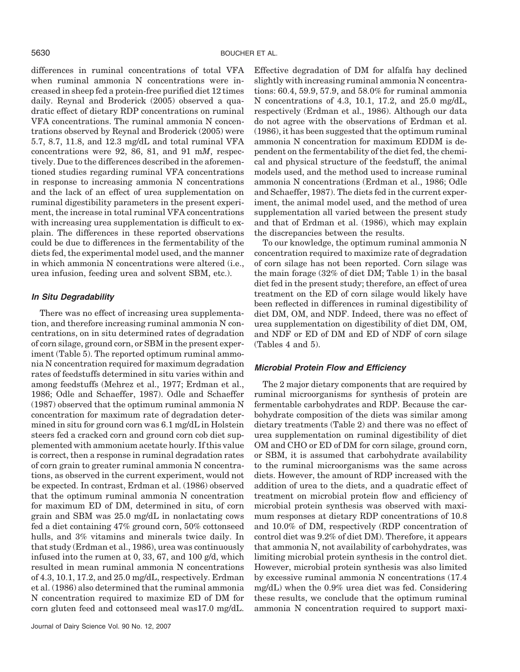differences in ruminal concentrations of total VFA when ruminal ammonia N concentrations were increased in sheep fed a protein-free purified diet 12 times daily. Reynal and Broderick (2005) observed a quadratic effect of dietary RDP concentrations on ruminal VFA concentrations. The ruminal ammonia N concentrations observed by Reynal and Broderick (2005) were 5.7, 8.7, 11.8, and 12.3 mg/dL and total ruminal VFA concentrations were 92, 86, 81, and 91 m*M*, respectively. Due to the differences described in the aforementioned studies regarding ruminal VFA concentrations in response to increasing ammonia N concentrations and the lack of an effect of urea supplementation on ruminal digestibility parameters in the present experiment, the increase in total ruminal VFA concentrations with increasing urea supplementation is difficult to explain. The differences in these reported observations could be due to differences in the fermentability of the diets fed, the experimental model used, and the manner in which ammonia N concentrations were altered (i.e., urea infusion, feeding urea and solvent SBM, etc.).

## *In Situ Degradability*

There was no effect of increasing urea supplementation, and therefore increasing ruminal ammonia N concentrations, on in situ determined rates of degradation of corn silage, ground corn, or SBM in the present experiment (Table 5). The reported optimum ruminal ammonia N concentration required for maximum degradation rates of feedstuffs determined in situ varies within and among feedstuffs (Mehrez et al., 1977; Erdman et al., 1986; Odle and Schaeffer, 1987). Odle and Schaeffer (1987) observed that the optimum ruminal ammonia N concentration for maximum rate of degradation determined in situ for ground corn was 6.1 mg/dL in Holstein steers fed a cracked corn and ground corn cob diet supplemented with ammonium acetate hourly. If this value is correct, then a response in ruminal degradation rates of corn grain to greater ruminal ammonia N concentrations, as observed in the current experiment, would not be expected. In contrast, Erdman et al. (1986) observed that the optimum ruminal ammonia N concentration for maximum ED of DM, determined in situ, of corn grain and SBM was 25.0 mg/dL in nonlactating cows fed a diet containing 47% ground corn, 50% cottonseed hulls, and 3% vitamins and minerals twice daily. In that study (Erdman et al., 1986), urea was continuously infused into the rumen at 0, 33, 67, and 100 g/d, which resulted in mean ruminal ammonia N concentrations of 4.3, 10.1, 17.2, and 25.0 mg/dL, respectively. Erdman et al. (1986) also determined that the ruminal ammonia N concentration required to maximize ED of DM for corn gluten feed and cottonseed meal was17.0 mg/dL.

Effective degradation of DM for alfalfa hay declined slightly with increasing ruminal ammonia N concentrations: 60.4, 59.9, 57.9, and 58.0% for ruminal ammonia N concentrations of 4.3, 10.1, 17.2, and 25.0 mg/dL, respectively (Erdman et al., 1986). Although our data do not agree with the observations of Erdman et al. (1986), it has been suggested that the optimum ruminal ammonia N concentration for maximum EDDM is dependent on the fermentability of the diet fed, the chemical and physical structure of the feedstuff, the animal models used, and the method used to increase ruminal ammonia N concentrations (Erdman et al., 1986; Odle and Schaeffer, 1987). The diets fed in the current experiment, the animal model used, and the method of urea supplementation all varied between the present study and that of Erdman et al. (1986), which may explain the discrepancies between the results.

To our knowledge, the optimum ruminal ammonia N concentration required to maximize rate of degradation of corn silage has not been reported. Corn silage was the main forage (32% of diet DM; Table 1) in the basal diet fed in the present study; therefore, an effect of urea treatment on the ED of corn silage would likely have been reflected in differences in ruminal digestibility of diet DM, OM, and NDF. Indeed, there was no effect of urea supplementation on digestibility of diet DM, OM, and NDF or ED of DM and ED of NDF of corn silage (Tables 4 and 5).

## *Microbial Protein Flow and Efficiency*

The 2 major dietary components that are required by ruminal microorganisms for synthesis of protein are fermentable carbohydrates and RDP. Because the carbohydrate composition of the diets was similar among dietary treatments (Table 2) and there was no effect of urea supplementation on ruminal digestibility of diet OM and CHO or ED of DM for corn silage, ground corn, or SBM, it is assumed that carbohydrate availability to the ruminal microorganisms was the same across diets. However, the amount of RDP increased with the addition of urea to the diets, and a quadratic effect of treatment on microbial protein flow and efficiency of microbial protein synthesis was observed with maximum responses at dietary RDP concentrations of 10.8 and 10.0% of DM, respectively (RDP concentration of control diet was 9.2% of diet DM). Therefore, it appears that ammonia N, not availability of carbohydrates, was limiting microbial protein synthesis in the control diet. However, microbial protein synthesis was also limited by excessive ruminal ammonia N concentrations (17.4 mg/dL) when the 0.9% urea diet was fed. Considering these results, we conclude that the optimum ruminal ammonia N concentration required to support maxi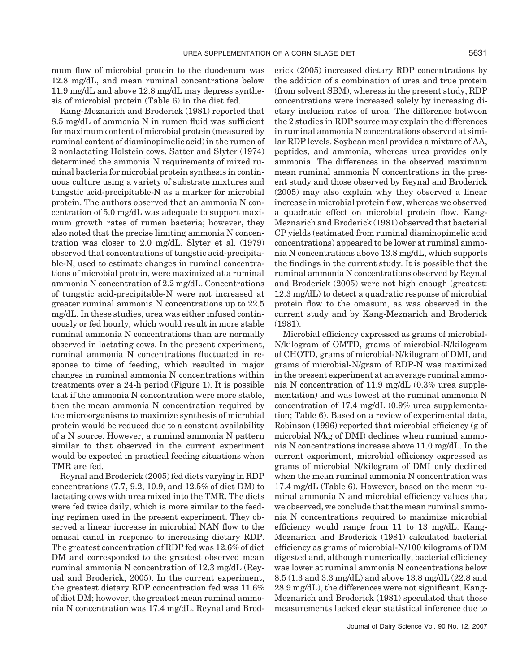mum flow of microbial protein to the duodenum was 12.8 mg/dL, and mean ruminal concentrations below 11.9 mg/dL and above 12.8 mg/dL may depress synthesis of microbial protein (Table 6) in the diet fed.

Kang-Meznarich and Broderick (1981) reported that 8.5 mg/dL of ammonia N in rumen fluid was sufficient for maximum content of microbial protein (measured by ruminal content of diaminopimelic acid) in the rumen of 2 nonlactating Holstein cows. Satter and Slyter (1974) determined the ammonia N requirements of mixed ruminal bacteria for microbial protein synthesis in continuous culture using a variety of substrate mixtures and tungstic acid-precipitable-N as a marker for microbial protein. The authors observed that an ammonia N concentration of 5.0 mg/dL was adequate to support maximum growth rates of rumen bacteria; however, they also noted that the precise limiting ammonia N concentration was closer to 2.0 mg/dL. Slyter et al. (1979) observed that concentrations of tungstic acid-precipitable-N, used to estimate changes in ruminal concentrations of microbial protein, were maximized at a ruminal ammonia N concentration of 2.2 mg/dL. Concentrations of tungstic acid-precipitable-N were not increased at greater ruminal ammonia N concentrations up to 22.5 mg/dL. In these studies, urea was either infused continuously or fed hourly, which would result in more stable ruminal ammonia N concentrations than are normally observed in lactating cows. In the present experiment, ruminal ammonia N concentrations fluctuated in response to time of feeding, which resulted in major changes in ruminal ammonia N concentrations within treatments over a 24-h period (Figure 1). It is possible that if the ammonia N concentration were more stable, then the mean ammonia N concentration required by the microorganisms to maximize synthesis of microbial protein would be reduced due to a constant availability of a N source. However, a ruminal ammonia N pattern similar to that observed in the current experiment would be expected in practical feeding situations when TMR are fed.

Reynal and Broderick (2005) fed diets varying in RDP concentrations (7.7, 9.2, 10.9, and 12.5% of diet DM) to lactating cows with urea mixed into the TMR. The diets were fed twice daily, which is more similar to the feeding regimen used in the present experiment. They observed a linear increase in microbial NAN flow to the omasal canal in response to increasing dietary RDP. The greatest concentration of RDP fed was 12.6% of diet DM and corresponded to the greatest observed mean ruminal ammonia N concentration of 12.3 mg/dL (Reynal and Broderick, 2005). In the current experiment, the greatest dietary RDP concentration fed was 11.6% of diet DM; however, the greatest mean ruminal ammonia N concentration was 17.4 mg/dL. Reynal and Broderick (2005) increased dietary RDP concentrations by the addition of a combination of urea and true protein (from solvent SBM), whereas in the present study, RDP concentrations were increased solely by increasing dietary inclusion rates of urea. The difference between the 2 studies in RDP source may explain the differences in ruminal ammonia N concentrations observed at similar RDP levels. Soybean meal provides a mixture of AA, peptides, and ammonia, whereas urea provides only ammonia. The differences in the observed maximum mean ruminal ammonia N concentrations in the present study and those observed by Reynal and Broderick (2005) may also explain why they observed a linear increase in microbial protein flow, whereas we observed a quadratic effect on microbial protein flow. Kang-Meznarich and Broderick (1981) observed that bacterial CP yields (estimated from ruminal diaminopimelic acid concentrations) appeared to be lower at ruminal ammonia N concentrations above 13.8 mg/dL, which supports the findings in the current study. It is possible that the ruminal ammonia N concentrations observed by Reynal and Broderick (2005) were not high enough (greatest: 12.3 mg/dL) to detect a quadratic response of microbial protein flow to the omasum, as was observed in the current study and by Kang-Meznarich and Broderick (1981).

Microbial efficiency expressed as grams of microbial-N/kilogram of OMTD, grams of microbial-N/kilogram of CHOTD, grams of microbial-N/kilogram of DMI, and grams of microbial-N/gram of RDP-N was maximized in the present experiment at an average ruminal ammonia N concentration of 11.9 mg/dL (0.3% urea supplementation) and was lowest at the ruminal ammonia N concentration of 17.4 mg/dL (0.9% urea supplementation; Table 6). Based on a review of experimental data, Robinson (1996) reported that microbial efficiency (g of microbial N/kg of DMI) declines when ruminal ammonia N concentrations increase above 11.0 mg/dL. In the current experiment, microbial efficiency expressed as grams of microbial N/kilogram of DMI only declined when the mean ruminal ammonia N concentration was 17.4 mg/dL (Table 6). However, based on the mean ruminal ammonia N and microbial efficiency values that we observed, we conclude that the mean ruminal ammonia N concentrations required to maximize microbial efficiency would range from 11 to 13 mg/dL. Kang-Meznarich and Broderick (1981) calculated bacterial efficiency as grams of microbial-N/100 kilograms of DM digested and, although numerically, bacterial efficiency was lower at ruminal ammonia N concentrations below 8.5 (1.3 and 3.3 mg/dL) and above 13.8 mg/dL (22.8 and 28.9 mg/dL), the differences were not significant. Kang-Meznarich and Broderick (1981) speculated that these measurements lacked clear statistical inference due to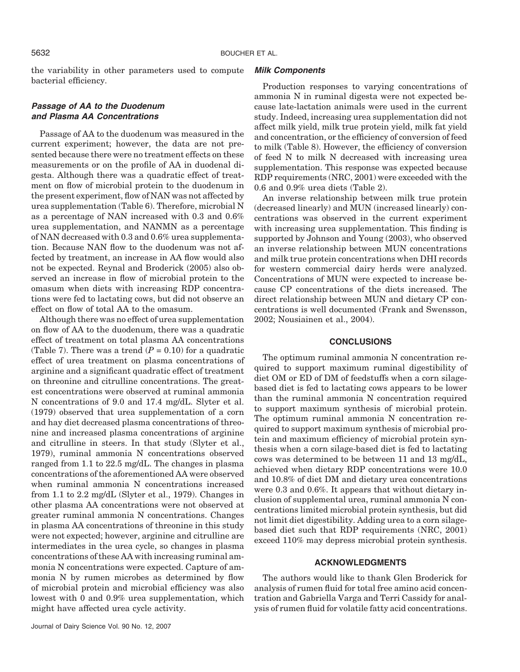the variability in other parameters used to compute bacterial efficiency.

# *Passage of AA to the Duodenum and Plasma AA Concentrations*

Passage of AA to the duodenum was measured in the current experiment; however, the data are not presented because there were no treatment effects on these measurements or on the profile of AA in duodenal digesta. Although there was a quadratic effect of treatment on flow of microbial protein to the duodenum in the present experiment, flow of NAN was not affected by urea supplementation (Table 6). Therefore, microbial N as a percentage of NAN increased with 0.3 and 0.6% urea supplementation, and NANMN as a percentage of NAN decreased with 0.3 and 0.6% urea supplementation. Because NAN flow to the duodenum was not affected by treatment, an increase in AA flow would also not be expected. Reynal and Broderick (2005) also observed an increase in flow of microbial protein to the omasum when diets with increasing RDP concentrations were fed to lactating cows, but did not observe an effect on flow of total AA to the omasum.

Although there was no effect of urea supplementation on flow of AA to the duodenum, there was a quadratic effect of treatment on total plasma AA concentrations (Table 7). There was a trend  $(P = 0.10)$  for a quadratic effect of urea treatment on plasma concentrations of arginine and a significant quadratic effect of treatment on threonine and citrulline concentrations. The greatest concentrations were observed at ruminal ammonia N concentrations of 9.0 and 17.4 mg/dL. Slyter et al. (1979) observed that urea supplementation of a corn and hay diet decreased plasma concentrations of threonine and increased plasma concentrations of arginine and citrulline in steers. In that study (Slyter et al., 1979), ruminal ammonia N concentrations observed ranged from 1.1 to 22.5 mg/dL. The changes in plasma concentrations of the aforementioned AA were observed when ruminal ammonia N concentrations increased from 1.1 to 2.2 mg/dL (Slyter et al., 1979). Changes in other plasma AA concentrations were not observed at greater ruminal ammonia N concentrations. Changes in plasma AA concentrations of threonine in this study were not expected; however, arginine and citrulline are intermediates in the urea cycle, so changes in plasma concentrations of these AA with increasing ruminal ammonia N concentrations were expected. Capture of ammonia N by rumen microbes as determined by flow of microbial protein and microbial efficiency was also lowest with 0 and 0.9% urea supplementation, which might have affected urea cycle activity.

#### *Milk Components*

Production responses to varying concentrations of ammonia N in ruminal digesta were not expected because late-lactation animals were used in the current study. Indeed, increasing urea supplementation did not affect milk yield, milk true protein yield, milk fat yield and concentration, or the efficiency of conversion of feed to milk (Table 8). However, the efficiency of conversion of feed N to milk N decreased with increasing urea supplementation. This response was expected because RDP requirements (NRC, 2001) were exceeded with the 0.6 and 0.9% urea diets (Table 2).

An inverse relationship between milk true protein (decreased linearly) and MUN (increased linearly) concentrations was observed in the current experiment with increasing urea supplementation. This finding is supported by Johnson and Young (2003), who observed an inverse relationship between MUN concentrations and milk true protein concentrations when DHI records for western commercial dairy herds were analyzed. Concentrations of MUN were expected to increase because CP concentrations of the diets increased. The direct relationship between MUN and dietary CP concentrations is well documented (Frank and Swensson, 2002; Nousiainen et al., 2004).

## **CONCLUSIONS**

The optimum ruminal ammonia N concentration required to support maximum ruminal digestibility of diet OM or ED of DM of feedstuffs when a corn silagebased diet is fed to lactating cows appears to be lower than the ruminal ammonia N concentration required to support maximum synthesis of microbial protein. The optimum ruminal ammonia N concentration required to support maximum synthesis of microbial protein and maximum efficiency of microbial protein synthesis when a corn silage-based diet is fed to lactating cows was determined to be between 11 and 13 mg/dL, achieved when dietary RDP concentrations were 10.0 and 10.8% of diet DM and dietary urea concentrations were 0.3 and 0.6%. It appears that without dietary inclusion of supplemental urea, ruminal ammonia N concentrations limited microbial protein synthesis, but did not limit diet digestibility. Adding urea to a corn silagebased diet such that RDP requirements (NRC, 2001) exceed 110% may depress microbial protein synthesis.

#### **ACKNOWLEDGMENTS**

The authors would like to thank Glen Broderick for analysis of rumen fluid for total free amino acid concentration and Gabriella Varga and Terri Cassidy for analysis of rumen fluid for volatile fatty acid concentrations.